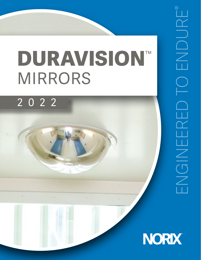# **DURAVISION**™ MIRRORS

## 2022

®

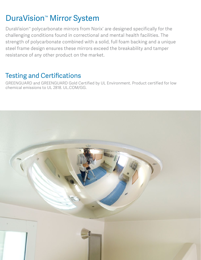## DuraVision<sup>™</sup> Mirror System

DuraVision™ polycarbonate mirrors from Norix® are designed specifically for the challenging conditions found in correctional and mental health facilities. The strength of polycarbonate combined with a solid, full foam backing and a unique steel frame design ensures these mirrors exceed the breakability and tamper resistance of any other product on the market.

## Testing and Certifications

GREENGUARD and GREENGUARD Gold Certified by UL Environment. Product certified for low chemical emissions to UL 2818. UL.COM/GG.

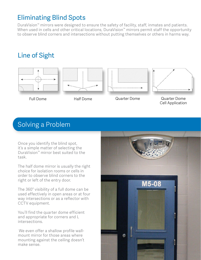#### Eliminating Blind Spots

DuraVision™ mirrors were designed to ensure the safety of facility, staff, inmates and patients. When used in cells and other critical locations, DuraVision™ mirrors permit staff the opportunity to observe blind corners and intersections without putting themselves or others in harms way.

## Line of Sight









Full Dome Half Dome Quarter Dome Quarter Dome Cell Application

## Solving a Problem

Once you identify the blind spot, it's a simple matter of selecting the DuraVision™ mirror best suited to the task.

The half dome mirror is usually the right choice for isolation rooms or cells in order to observe blind corners to the right or left of the entry door.

The 360° visibility of a full dome can be used effectively in open areas or at four way intersections or as a reflector with CCTV equipment.

You'll find the quarter dome efficient and appropriate for corners and L intersections.

We even offer a shallow profile wallmount mirror for those areas where mounting against the ceiling doesn't make sense.

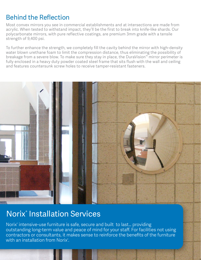## Behind the Reflection

Most convex mirrors you see in commercial establishments and at intersections are made from acrylic. When tested to withstand impact, they'll be the first to break into knife-like shards. Our polycarbonate mirrors, with pure reflective coatings, are premium 3mm grade with a tensile strength of 9,400 psi.

To further enhance the strength, we completely fill the cavity behind the mirror with high-density water blown urethane foam to limit the compression distance, thus eliminating the possibility of breakage from a severe blow. To make sure they stay in place, the DuraVision™ mirror perimeter is fully enclosed in a heavy duty powder coated steel frame that sits flush with the wall and ceiling and features countersunk screw holes to receive tamper-resistant fasteners.



## Norix® Installation Services

Norix® intensive-use furniture is safe, secure and built to last… providing outstanding long-term value and peace of mind for your staff. For facilities not using contractors or consultants, it makes sense to reinforce the benefits of the furniture with an installation from Norix°.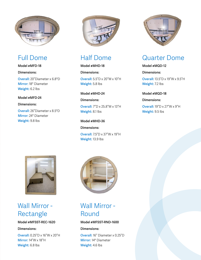

#### Full Dome

**Model #MFD-18**

**Dimensions: Overall:** 20"Diameter x 6.8"D **Mirror:** 18" Diameter **Weight:** 6.2 lbs

#### **Model #MFD-24**

**Dimensions:** 

**Overall:** 26"Diameter x 8.5"D **Mirror:** 24" Diameter **Weight:** 9.8 lbs



## Half Dome

**Model #MHD-18 Dimensions: Overall:** 5.5"D x 20"W x 10"H **Weight:** 5.8 lbs

**Model #MHD-24**

**Dimensions:** 

**Overall:** 7"D x 25.8"W x 13"H **Weight:** 8.1 lbs

**Model #MHD-36 Dimensions: Overall:** 7.5"D x 37"W x 19"H **Weight:** 13.9 lbs



## Quarter Dome

#### **Model #MQD-12**

**Dimensions:** 

**Overall:** 13.5"D x 19"W x 9.5"H **Weight:** 7.2 lbs

#### **Model #MQD-18**

**Dimensions:** 

**Overall:** 19"D x 27"W x 9"H **Weight:** 9.5 lbs



#### Wall Mirror - Rectangle

#### **Model #MFSST-REC-1620**

#### **Dimensions:**

**Overall:** 0.25"D x 16"W x 20"H **Mirror:** 14"W x 18"H **Weight:** 6.8 lbs



## Wall Mirror - Round

#### **Model #MFSST-RND-1600**

#### **Dimensions:**

**Overall:** 16" Diameter x 0.25"D **Mirror:** 14" Diameter **Weight:** 4.6 lbs